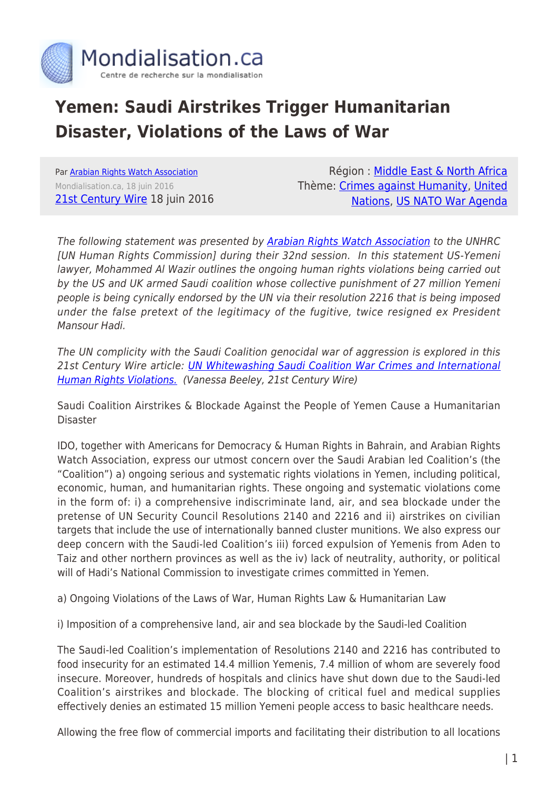

## **Yemen: Saudi Airstrikes Trigger Humanitarian Disaster, Violations of the Laws of War**

Par [Arabian Rights Watch Association](https://www.mondialisation.ca/author/arabian-rights-watch-association) Mondialisation.ca, 18 juin 2016 [21st Century Wire](http://21stcenturywire.com/2016/06/18/yemen-ongoing-violations-of-the-laws-of-war-human-rights-law-humanitarian-law/) 18 juin 2016

Région : [Middle East & North Africa](https://www.mondialisation.ca/region/middle-east) Thème: [Crimes against Humanity](https://www.mondialisation.ca/theme/crimes-against-humanity), [United](https://www.mondialisation.ca/theme/united-nations) [Nations](https://www.mondialisation.ca/theme/united-nations), [US NATO War Agenda](https://www.mondialisation.ca/theme/us-nato-war-agenda)

The following statement was presented by [Arabian Rights Watch Association](http://arwarights.org/international-law-violations) to the UNHRC [UN Human Rights Commission] during their 32nd session. In this statement US-Yemeni lawyer, Mohammed Al Wazir outlines the ongoing human rights violations being carried out by the US and UK armed Saudi coalition whose collective punishment of 27 million Yemeni people is being cynically endorsed by the UN via their resolution 2216 that is being imposed under the false pretext of the legitimacy of the fugitive, twice resigned ex President Mansour Hadi.

The UN complicity with the Saudi Coalition genocidal war of aggression is explored in this 21st Century Wire article: *[UN Whitewashing Saudi Coalition War Crimes and International](http://21stcenturywire.com/2016/04/03/yemen-un-whitewashing-saudi-coalition-war-crimes-and-international-human-rights-violations/)* [Human Rights Violations.](http://21stcenturywire.com/2016/04/03/yemen-un-whitewashing-saudi-coalition-war-crimes-and-international-human-rights-violations/) (Vanessa Beeley, 21st Century Wire)

Saudi Coalition Airstrikes & Blockade Against the People of Yemen Cause a Humanitarian Disaster

IDO, together with Americans for Democracy & Human Rights in Bahrain, and Arabian Rights Watch Association, express our utmost concern over the Saudi Arabian led Coalition's (the "Coalition") a) ongoing serious and systematic rights violations in Yemen, including political, economic, human, and humanitarian rights. These ongoing and systematic violations come in the form of: i) a comprehensive indiscriminate land, air, and sea blockade under the pretense of UN Security Council Resolutions 2140 and 2216 and ii) airstrikes on civilian targets that include the use of internationally banned cluster munitions. We also express our deep concern with the Saudi-led Coalition's iii) forced expulsion of Yemenis from Aden to Taiz and other northern provinces as well as the iv) lack of neutrality, authority, or political will of Hadi's National Commission to investigate crimes committed in Yemen.

a) Ongoing Violations of the Laws of War, Human Rights Law & Humanitarian Law

i) Imposition of a comprehensive land, air and sea blockade by the Saudi-led Coalition

The Saudi-led Coalition's implementation of Resolutions 2140 and 2216 has contributed to food insecurity for an estimated 14.4 million Yemenis, 7.4 million of whom are severely food insecure. Moreover, hundreds of hospitals and clinics have shut down due to the Saudi-led Coalition's airstrikes and blockade. The blocking of critical fuel and medical supplies effectively denies an estimated 15 million Yemeni people access to basic healthcare needs.

Allowing the free flow of commercial imports and facilitating their distribution to all locations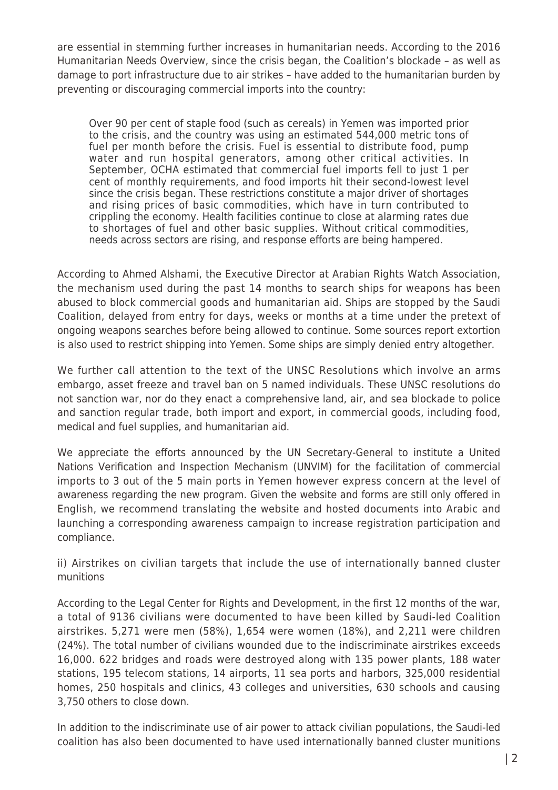are essential in stemming further increases in humanitarian needs. According to the 2016 Humanitarian Needs Overview, since the crisis began, the Coalition's blockade – as well as damage to port infrastructure due to air strikes – have added to the humanitarian burden by preventing or discouraging commercial imports into the country:

Over 90 per cent of staple food (such as cereals) in Yemen was imported prior to the crisis, and the country was using an estimated 544,000 metric tons of fuel per month before the crisis. Fuel is essential to distribute food, pump water and run hospital generators, among other critical activities. In September, OCHA estimated that commercial fuel imports fell to just 1 per cent of monthly requirements, and food imports hit their second-lowest level since the crisis began. These restrictions constitute a major driver of shortages and rising prices of basic commodities, which have in turn contributed to crippling the economy. Health facilities continue to close at alarming rates due to shortages of fuel and other basic supplies. Without critical commodities, needs across sectors are rising, and response efforts are being hampered.

According to Ahmed Alshami, the Executive Director at Arabian Rights Watch Association, the mechanism used during the past 14 months to search ships for weapons has been abused to block commercial goods and humanitarian aid. Ships are stopped by the Saudi Coalition, delayed from entry for days, weeks or months at a time under the pretext of ongoing weapons searches before being allowed to continue. Some sources report extortion is also used to restrict shipping into Yemen. Some ships are simply denied entry altogether.

We further call attention to the text of the UNSC Resolutions which involve an arms embargo, asset freeze and travel ban on 5 named individuals. These UNSC resolutions do not sanction war, nor do they enact a comprehensive land, air, and sea blockade to police and sanction regular trade, both import and export, in commercial goods, including food, medical and fuel supplies, and humanitarian aid.

We appreciate the efforts announced by the UN Secretary-General to institute a United Nations Verification and Inspection Mechanism (UNVIM) for the facilitation of commercial imports to 3 out of the 5 main ports in Yemen however express concern at the level of awareness regarding the new program. Given the website and forms are still only offered in English, we recommend translating the website and hosted documents into Arabic and launching a corresponding awareness campaign to increase registration participation and compliance.

ii) Airstrikes on civilian targets that include the use of internationally banned cluster munitions

According to the Legal Center for Rights and Development, in the first 12 months of the war, a total of 9136 civilians were documented to have been killed by Saudi-led Coalition airstrikes. 5,271 were men (58%), 1,654 were women (18%), and 2,211 were children (24%). The total number of civilians wounded due to the indiscriminate airstrikes exceeds 16,000. 622 bridges and roads were destroyed along with 135 power plants, 188 water stations, 195 telecom stations, 14 airports, 11 sea ports and harbors, 325,000 residential homes, 250 hospitals and clinics, 43 colleges and universities, 630 schools and causing 3,750 others to close down.

In addition to the indiscriminate use of air power to attack civilian populations, the Saudi-led coalition has also been documented to have used internationally banned cluster munitions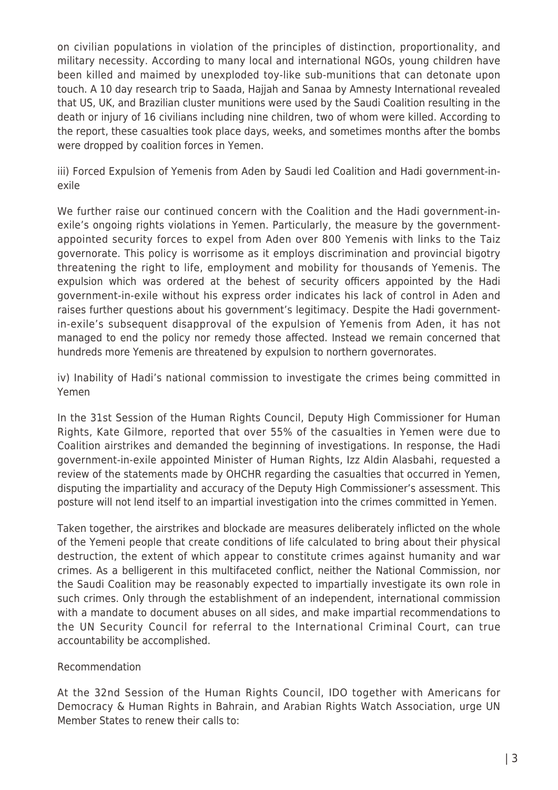on civilian populations in violation of the principles of distinction, proportionality, and military necessity. According to many local and international NGOs, young children have been killed and maimed by unexploded toy-like sub-munitions that can detonate upon touch. A 10 day research trip to Saada, Hajjah and Sanaa by Amnesty International revealed that US, UK, and Brazilian cluster munitions were used by the Saudi Coalition resulting in the death or injury of 16 civilians including nine children, two of whom were killed. According to the report, these casualties took place days, weeks, and sometimes months after the bombs were dropped by coalition forces in Yemen.

iii) Forced Expulsion of Yemenis from Aden by Saudi led Coalition and Hadi government-inexile

We further raise our continued concern with the Coalition and the Hadi government-inexile's ongoing rights violations in Yemen. Particularly, the measure by the governmentappointed security forces to expel from Aden over 800 Yemenis with links to the Taiz governorate. This policy is worrisome as it employs discrimination and provincial bigotry threatening the right to life, employment and mobility for thousands of Yemenis. The expulsion which was ordered at the behest of security officers appointed by the Hadi government-in-exile without his express order indicates his lack of control in Aden and raises further questions about his government's legitimacy. Despite the Hadi governmentin-exile's subsequent disapproval of the expulsion of Yemenis from Aden, it has not managed to end the policy nor remedy those affected. Instead we remain concerned that hundreds more Yemenis are threatened by expulsion to northern governorates.

iv) Inability of Hadi's national commission to investigate the crimes being committed in Yemen

In the 31st Session of the Human Rights Council, Deputy High Commissioner for Human Rights, Kate Gilmore, reported that over 55% of the casualties in Yemen were due to Coalition airstrikes and demanded the beginning of investigations. In response, the Hadi government-in-exile appointed Minister of Human Rights, Izz Aldin Alasbahi, requested a review of the statements made by OHCHR regarding the casualties that occurred in Yemen, disputing the impartiality and accuracy of the Deputy High Commissioner's assessment. This posture will not lend itself to an impartial investigation into the crimes committed in Yemen.

Taken together, the airstrikes and blockade are measures deliberately inflicted on the whole of the Yemeni people that create conditions of life calculated to bring about their physical destruction, the extent of which appear to constitute crimes against humanity and war crimes. As a belligerent in this multifaceted conflict, neither the National Commission, nor the Saudi Coalition may be reasonably expected to impartially investigate its own role in such crimes. Only through the establishment of an independent, international commission with a mandate to document abuses on all sides, and make impartial recommendations to the UN Security Council for referral to the International Criminal Court, can true accountability be accomplished.

## Recommendation

At the 32nd Session of the Human Rights Council, IDO together with Americans for Democracy & Human Rights in Bahrain, and Arabian Rights Watch Association, urge UN Member States to renew their calls to: